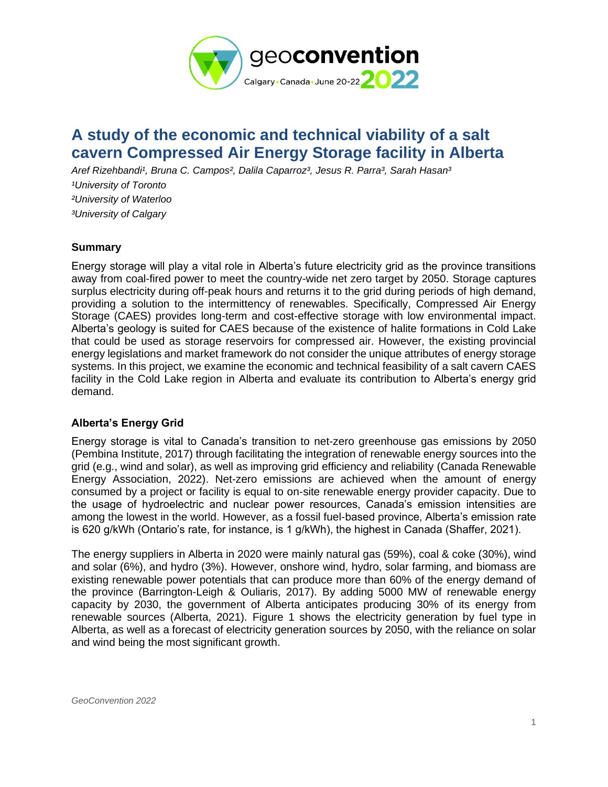

# **A study of the economic and technical viability of a salt cavern Compressed Air Energy Storage facility in Alberta**

Aref Rizehbandi<sup>1</sup>, Bruna C. Campos<sup>2</sup>, Dalila Caparroz<sup>3</sup>, Jesus R. Parra<sup>3</sup>, Sarah Hasan<sup>3</sup> *¹University of Toronto ²University of Waterloo ³University of Calgary*

#### **Summary**

Energy storage will play a vital role in Alberta's future electricity grid as the province transitions away from coal-fired power to meet the country-wide net zero target by 2050. Storage captures surplus electricity during off-peak hours and returns it to the grid during periods of high demand, providing a solution to the intermittency of renewables. Specifically, Compressed Air Energy Storage (CAES) provides long-term and cost-effective storage with low environmental impact. Alberta's geology is suited for CAES because of the existence of halite formations in Cold Lake that could be used as storage reservoirs for compressed air. However, the existing provincial energy legislations and market framework do not consider the unique attributes of energy storage systems. In this project, we examine the economic and technical feasibility of a salt cavern CAES facility in the Cold Lake region in Alberta and evaluate its contribution to Alberta's energy grid demand.

# **Alberta's Energy Grid**

Energy storage is vital to Canada's transition to net-zero greenhouse gas emissions by 2050 (Pembina Institute, 2017) through facilitating the integration of renewable energy sources into the grid (e.g., wind and solar), as well as improving grid efficiency and reliability (Canada Renewable Energy Association, 2022). Net-zero emissions are achieved when the amount of energy consumed by a project or facility is equal to on-site renewable energy provider capacity. Due to the usage of hydroelectric and nuclear power resources, Canada's emission intensities are among the lowest in the world. However, as a fossil fuel-based province, Alberta's emission rate is 620 g/kWh (Ontario's rate, for instance, is 1 g/kWh), the highest in Canada (Shaffer, 2021).

The energy suppliers in Alberta in 2020 were mainly natural gas (59%), coal & coke (30%), wind and solar (6%), and hydro (3%). However, onshore wind, hydro, solar farming, and biomass are existing renewable power potentials that can produce more than 60% of the energy demand of the province (Barrington-Leigh & Ouliaris, 2017). By adding 5000 MW of renewable energy capacity by 2030, the government of Alberta anticipates producing 30% of its energy from renewable sources (Alberta, 2021). [Figure 1](#page-1-0) shows the electricity generation by fuel type in Alberta, as well as a forecast of electricity generation sources by 2050, with the reliance on solar and wind being the most significant growth.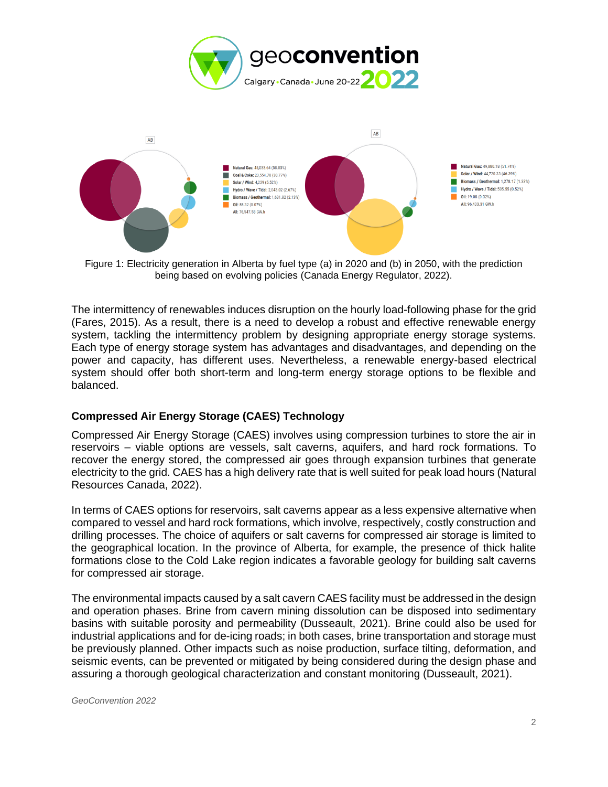



<span id="page-1-0"></span>Figure 1: Electricity generation in Alberta by fuel type (a) in 2020 and (b) in 2050, with the prediction being based on evolving policies (Canada Energy Regulator, 2022).

The intermittency of renewables induces disruption on the hourly load-following phase for the grid (Fares, 2015). As a result, there is a need to develop a robust and effective renewable energy system, tackling the intermittency problem by designing appropriate energy storage systems. Each type of energy storage system has advantages and disadvantages, and depending on the power and capacity, has different uses. Nevertheless, a renewable energy-based electrical system should offer both short-term and long-term energy storage options to be flexible and balanced.

# **Compressed Air Energy Storage (CAES) Technology**

Compressed Air Energy Storage (CAES) involves using compression turbines to store the air in reservoirs – viable options are vessels, salt caverns, aquifers, and hard rock formations. To recover the energy stored, the compressed air goes through expansion turbines that generate electricity to the grid. CAES has a high delivery rate that is well suited for peak load hours (Natural Resources Canada, 2022).

In terms of CAES options for reservoirs, salt caverns appear as a less expensive alternative when compared to vessel and hard rock formations, which involve, respectively, costly construction and drilling processes. The choice of aquifers or salt caverns for compressed air storage is limited to the geographical location. In the province of Alberta, for example, the presence of thick halite formations close to the Cold Lake region indicates a favorable geology for building salt caverns for compressed air storage.

The environmental impacts caused by a salt cavern CAES facility must be addressed in the design and operation phases. Brine from cavern mining dissolution can be disposed into sedimentary basins with suitable porosity and permeability (Dusseault, 2021). Brine could also be used for industrial applications and for de-icing roads; in both cases, brine transportation and storage must be previously planned. Other impacts such as noise production, surface tilting, deformation, and seismic events, can be prevented or mitigated by being considered during the design phase and assuring a thorough geological characterization and constant monitoring (Dusseault, 2021).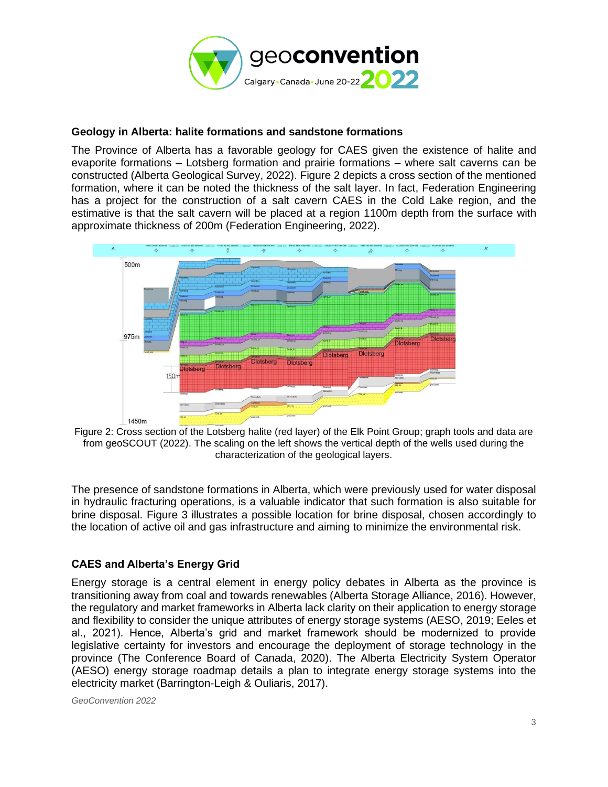

# **Geology in Alberta: halite formations and sandstone formations**

The Province of Alberta has a favorable geology for CAES given the existence of halite and evaporite formations – Lotsberg formation and prairie formations – where salt caverns can be constructed (Alberta Geological Survey, 2022). [Figure 2](#page-2-0) depicts a cross section of the mentioned formation, where it can be noted the thickness of the salt layer. In fact, Federation Engineering has a project for the construction of a salt cavern CAES in the Cold Lake region, and the estimative is that the salt cavern will be placed at a region 1100m depth from the surface with approximate thickness of 200m (Federation Engineering, 2022).



<span id="page-2-0"></span>Figure 2: Cross section of the Lotsberg halite (red layer) of the Elk Point Group; graph tools and data are from geoSCOUT (2022). The scaling on the left shows the vertical depth of the wells used during the characterization of the geological layers.

The presence of sandstone formations in Alberta, which were previously used for water disposal in hydraulic fracturing operations, is a valuable indicator that such formation is also suitable for brine disposal. [Figure 3](#page-3-0) illustrates a possible location for brine disposal, chosen accordingly to the location of active oil and gas infrastructure and aiming to minimize the environmental risk.

# **CAES and Alberta's Energy Grid**

Energy storage is a central element in energy policy debates in Alberta as the province is transitioning away from coal and towards renewables (Alberta Storage Alliance, 2016). However, the regulatory and market frameworks in Alberta lack clarity on their application to energy storage and flexibility to consider the unique attributes of energy storage systems (AESO, 2019; Eeles et al., 2021). Hence, Alberta's grid and market framework should be modernized to provide legislative certainty for investors and encourage the deployment of storage technology in the province (The Conference Board of Canada, 2020). The Alberta Electricity System Operator (AESO) energy storage roadmap details a plan to integrate energy storage systems into the electricity market (Barrington-Leigh & Ouliaris, 2017).

*GeoConvention 2022*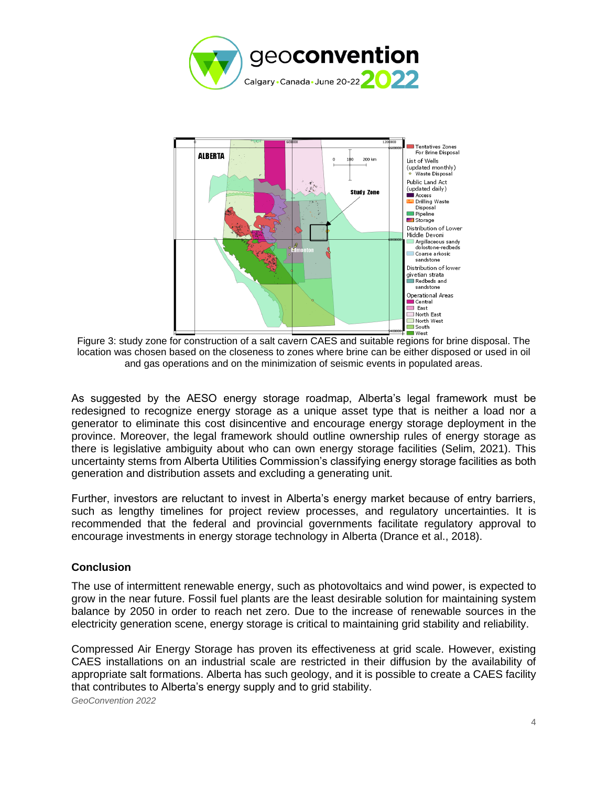



<span id="page-3-0"></span>Figure 3: study zone for construction of a salt cavern CAES and suitable regions for brine disposal. The location was chosen based on the closeness to zones where brine can be either disposed or used in oil and gas operations and on the minimization of seismic events in populated areas.

As suggested by the AESO energy storage roadmap, Alberta's legal framework must be redesigned to recognize energy storage as a unique asset type that is neither a load nor a generator to eliminate this cost disincentive and encourage energy storage deployment in the province. Moreover, the legal framework should outline ownership rules of energy storage as there is legislative ambiguity about who can own energy storage facilities (Selim, 2021). This uncertainty stems from Alberta Utilities Commission's classifying energy storage facilities as both generation and distribution assets and excluding a generating unit.

Further, investors are reluctant to invest in Alberta's energy market because of entry barriers, such as lengthy timelines for project review processes, and regulatory uncertainties. It is recommended that the federal and provincial governments facilitate regulatory approval to encourage investments in energy storage technology in Alberta (Drance et al., 2018).

# **Conclusion**

The use of intermittent renewable energy, such as photovoltaics and wind power, is expected to grow in the near future. Fossil fuel plants are the least desirable solution for maintaining system balance by 2050 in order to reach net zero. Due to the increase of renewable sources in the electricity generation scene, energy storage is critical to maintaining grid stability and reliability.

Compressed Air Energy Storage has proven its effectiveness at grid scale. However, existing CAES installations on an industrial scale are restricted in their diffusion by the availability of appropriate salt formations. Alberta has such geology, and it is possible to create a CAES facility that contributes to Alberta's energy supply and to grid stability.

*GeoConvention 2022*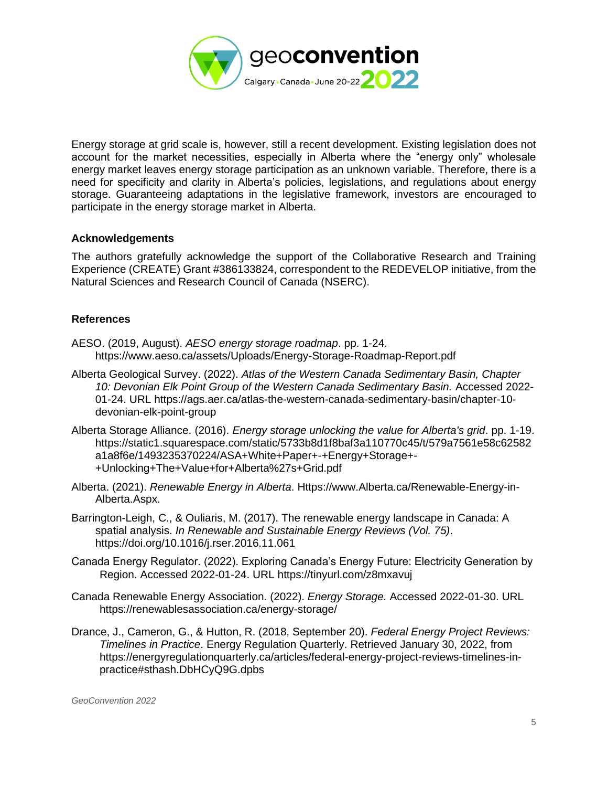

Energy storage at grid scale is, however, still a recent development. Existing legislation does not account for the market necessities, especially in Alberta where the "energy only" wholesale energy market leaves energy storage participation as an unknown variable. Therefore, there is a need for specificity and clarity in Alberta's policies, legislations, and regulations about energy storage. Guaranteeing adaptations in the legislative framework, investors are encouraged to participate in the energy storage market in Alberta.

#### **Acknowledgements**

The authors gratefully acknowledge the support of the Collaborative Research and Training Experience (CREATE) Grant #386133824, correspondent to the REDEVELOP initiative, from the Natural Sciences and Research Council of Canada (NSERC).

#### **References**

- AESO. (2019, August). *AESO energy storage roadmap*. pp. 1-24. <https://www.aeso.ca/assets/Uploads/Energy-Storage-Roadmap-Report.pdf>
- Alberta Geological Survey. (2022). *Atlas of the Western Canada Sedimentary Basin, Chapter 10: Devonian Elk Point Group of the Western Canada Sedimentary Basin.* Accessed 2022- 01-24. URL [https://ags.aer.ca/atlas-the-western-canada-sedimentary-basin/chapter-10](https://ags.aer.ca/atlas-the-western-canada-sedimentary-basin/chapter-10-devonian-elk-point-group) [devonian-elk-point-group](https://ags.aer.ca/atlas-the-western-canada-sedimentary-basin/chapter-10-devonian-elk-point-group)
- Alberta Storage Alliance. (2016). *Energy storage unlocking the value for Alberta's grid*. pp. 1-19. [https://static1.squarespace.com/static/5733b8d1f8baf3a110770c45/t/579a7561e58c62582](https://static1.squarespace.com/static/5733b8d1f8baf3a110770c45/t/579a7561e58c62582a1a8f6e/1493235370224/ASA+White+Paper+-+Energy+Storage+-+Unlocking+The+Value+for+Alberta%27s+Grid.pdf) [a1a8f6e/1493235370224/ASA+White+Paper+-+Energy+Storage+-](https://static1.squarespace.com/static/5733b8d1f8baf3a110770c45/t/579a7561e58c62582a1a8f6e/1493235370224/ASA+White+Paper+-+Energy+Storage+-+Unlocking+The+Value+for+Alberta%27s+Grid.pdf) [+Unlocking+The+Value+for+Alberta%27s+Grid.pdf](https://static1.squarespace.com/static/5733b8d1f8baf3a110770c45/t/579a7561e58c62582a1a8f6e/1493235370224/ASA+White+Paper+-+Energy+Storage+-+Unlocking+The+Value+for+Alberta%27s+Grid.pdf)
- Alberta. (2021). *Renewable Energy in Alberta*. Https://www.Alberta.ca/Renewable-Energy-in-Alberta.Aspx.
- Barrington-Leigh, C., & Ouliaris, M. (2017). The renewable energy landscape in Canada: A spatial analysis. *In Renewable and Sustainable Energy Reviews (Vol. 75)*. https://doi.org/10.1016/j.rser.2016.11.061
- Canada Energy Regulator. (2022). Exploring Canada's Energy Future: Electricity Generation by Region. Accessed 2022-01-24. URL<https://tinyurl.com/z8mxavuj>
- Canada Renewable Energy Association. (2022). *Energy Storage.* Accessed 2022-01-30. URL <https://renewablesassociation.ca/energy-storage/>
- Drance, J., Cameron, G., & Hutton, R. (2018, September 20). *Federal Energy Project Reviews: Timelines in Practice*. Energy Regulation Quarterly. Retrieved January 30, 2022, from https://energyregulationquarterly.ca/articles/federal-energy-project-reviews-timelines-inpractice#sthash.DbHCyQ9G.dpbs

*GeoConvention 2022*